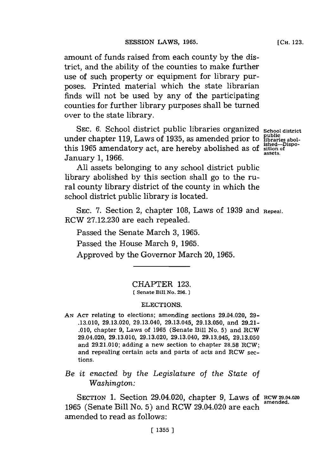amount of funds raised from each county **by** the district, and the ability of the counties to make further use of such property or equipment for library purposes. Printed material which the state librarian finds will not be used **by** any of the participating counties for further library purposes shall be turned over to the state library.

**SEC. 6.** School district public libraries organized under chapter **119,** Laws of **1935,** as amended prior to this **1965** amendatory act, are hereby abolished as of January **1, 1966.**

**School district public libraries abol-ished-Dispo-sit ion of assets.**

**All** assets belonging to any school district public library abolished **by** this section shall go to the rural county library district of the county in which the school district public library is located.

SEC. **7.** Section 2, chapter **108,** Laws of **1939** and **Repeal.** RCW **27.12.230** are each repealed.

Passed the Senate March **3, 1965.**

Passed the House March **9, 1965.**

Approved **by** the Governor March 20, **1965.**

# CHAPTER **123.**

**[Senate Bill No. 296.)**

#### ELECTIONS.

**AN ACT** relating to elections; amending sections 29.04.020, **29- .13.010, 29.13.020,** 29.13.040, 29.13.045, **29.13.050,** and **29.21- .010,** chapter **9,** Laws of **1965** (Senate Bill No. **5)** and RCW 29.04.020, **29.13.010, 29.13.020,** 29.13.040, 29.13.045, **29.13.050** and **29.21.010;** adding a new section to chapter **28.58** RCW; and repealing certain acts and parts of acts and RCW sections.

# *Be it enacted by the Legislature* of *the State of Washington:*

SECTION 1. Section 29.04.020, chapter 9, Laws of RCW 29.04.020 **1965** (Senate Bill No. 5) and RCW 29.04.020 are each amended to read as follows: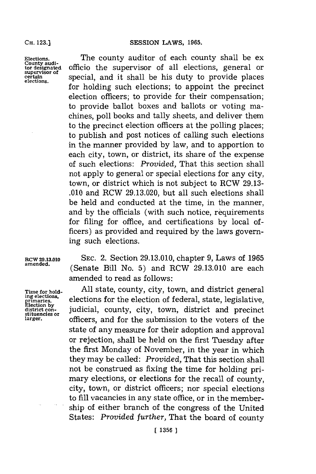#### **CH. 123.]**

**Elections.** County audi**tor designated supervisor of certain elections.**

The county auditor of each county shall be ex officio the supervisor of all elections, general or special, and it shall be his duty to provide places for holding such elections; to appoint the precinct election officers; to provide for their compensation; to provide ballot boxes and ballots or voting machines, poll books and tally sheets, and deliver them to the precinct election officers at the polling places; to publish and post notices of calling such elections in the manner provided **by** law, and to apportion to each city, town, or district, its share of the expense of such elections: *Provided,* That this section shall not apply to general or special elections for any city, town, or district which is not subject to RCW **29.13- .010** and ROW **29.13.020,** but all such elections shall be held and conducted at the time, in the manner, and **by** the officials (with such notice, requirements for filing for office, and certifications **by** local officers) as provided and required **by** the laws governing such elections.

**Tine for holdgin~ elections, priaries. Election by district con- stituencies or larger.**

**RCW 29.13.010 SEC.** 2. Section **29.13.010,** chapter **9,** Laws of **1965** (Senate Bill No. 5) and RCW 29.13.010 are each amended to read as follows:

> **All** state, county, city, town, and district general elections for the election of federal, state, legislative, judicial, county, city, town, district and precinct officers, and for the submission to the voters of the state of any measure for their adoption and approval or rejection, shall be held on the first Tuesday after the first Monday of November, in the year in which they may be called: *Provided,* That this section shall not be construed as fixing the time for holding primary elections, or elections for the recall of county, city, town, or district officers; nor special elections to **fill** vacancies in any state office, or in the membership of either branch of the congress of the United States: *Provided further,* That the board of county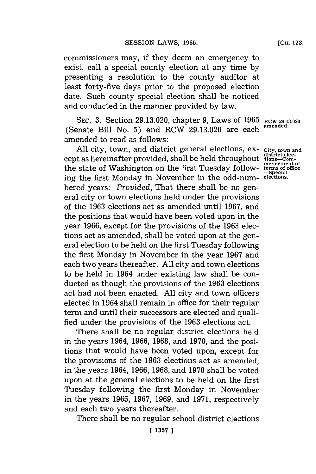commissioners may, if they deem an emergency to exist, call a special county election at any time **by** presenting a resolution to the county auditor at least forty-five days prior to the proposed election date. Such county special election shall be noticed and conducted in the manner provided **by** law.

SEC. 3. Section 29.13.020, chapter 9, Laws of 1965 RCW 29.13.020 (Senate Bill No. **5)** and RCW **29.13.020** are each **amended.** amended to read as follows:

All city, town, and district general elections, ex- City, town and **district elec-** cept as hereinafter provided, shall be held throughout **tions-Commencement of** the state of Washington on the first Tuesday **follow- terms of office -Special** ing the first Monday in November in the odd-num- **elections.** bered years: *Provided,* That there shall be no general city or town elections held under the provisions of the **1963** elections act as amended until **1967,** and the positions that would have been voted upon in the year **1966,** except for the provisions of the **1963** elections act as amended, shall be voted upon at the general election to be held on the first Tuesday following the first Monday in November in the year **1967** and each two years thereafter. **All** city and town elections to be held in 1964 under existing law shall be conducted as though the provisions of the **1963** elections act had not been enacted. **All** city and town officers elected in 1964 shall remain in office for their regular term and until their successors are elected and qualified under the provisions of the **1963** elections act.

There shall be no regular district elections held in the years 1964, **1966, 1968,** and **1970,** and the positions that would have been voted upon, except for the provisions of the **1963** elections act as amended, in the years 1964, **1966, 1968,** and **1970** shall be voted upon at the general elections to be held on the first Tuesday following the first Monday in November in the years **1965, 1967, 1969,** and **1971,** respectively and each two years thereafter.

There shall be no regular school district elections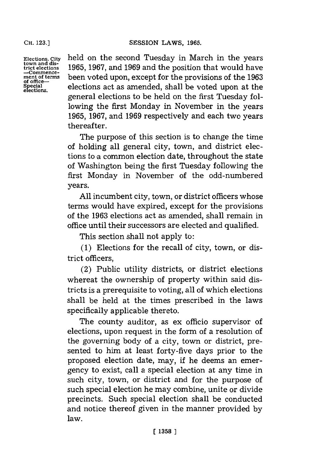**Elections,** City **town and district elections -Commencement of ters of office**ecial<br>otie**n**s

held on the second Tuesday in March in the years **1965, 1967,** and **1969** and the position that would have been voted upon, except for the provisions of the **1963** elections act as amended, shall be voted upon at the general elections to be held on the first Tuesday following the first Monday in November in the years **1965, 1967,** and **1969** respectively and each two years thereafter.

The purpose of this section is to change the time of holding all general city, town, and district elections to a common election date, throughout the state of Washington being the first Tuesday following the first Monday in November of the odd-numbered years.

**All** incumbent city, town, or district officers whose terms would have expired, except for the provisions of the **1963** elections act as amended, shall remain in office until their successors are elected and qualified.

This section shall not apply to:

**(1)** Elections for the recall of city, town, or district officers,

(2) Public utility districts, or district elections whereat the ownership of property within said districts is a prerequisite to voting, all of which elections shall be held at the times prescribed in the laws specifically applicable thereto.

The county auditor, as ex officio supervisor of elections, upon request in the form of a resolution of the governing body of a city, town or district, presented to him at least forty-five days prior to the proposed election date, may, if he deems an emergency to exist, call a special election at any time in such city, town, or district and for the purpose of such special election he may combine, unite or divide precincts. Such special election shall be conducted and notice thereof given in the manner provided **by** law.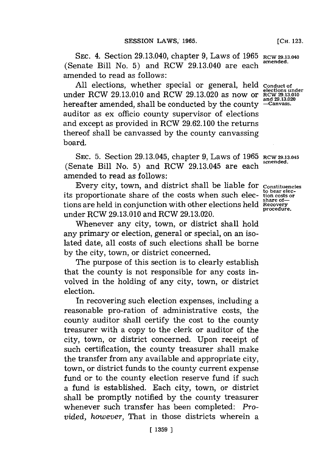**SEC.** 4. Section 29.13.040, chapter **9,** Laws of **1965 RCW 29.13.040** (Senate Bill No. **5)** and RCW 29.13.040 are each **amended.** amended to read as follows:

**All** elections, whether special or general, held **Conduct of elections under** under RCW **29.13.010** and RCW **29.13.020** as now or **RCW 29.13.010** hereafter amended, shall be conducted by the county auditor as ex officio county supervisor of elections and except as provided in RCW **29.62.100** the returns thereof shall be canvassed **by** the county canvassing board.

SEC. **5.** Section 29.13.045, chapter **9,** Laws of **1965 RCW 29.13.045** (Senate Bill No. **5)** and RCW 29.13.045 are each **amended.** amended to read as follows:

Every city, town, and district shall be liable for **Constituencies**<br>to bear elecits proportionate share of the costs when such elec-tion costs or tions are held in conjunction with other elections held **Recovery** under RCW 29.13.010 and RCW 29.13.020.

Whenever any city, town, or district shall hold any primary or election, general or special, on an isolated date, all costs of such elections shall be borne **by** the city, town, or district concerned.

The purpose of this section is to clearly establish that the county is not responsible for any costs involved in the holding of any city, town, or district election.

In recovering such election expenses, including a reasonable pro-ration of administrative costs, the county auditor shall certify the cost to the county treasurer with a copy to the clerk or auditor of the city, town, or district concerned. Upon receipt of such certification, the county treasurer shall make the transfer from any available and appropriate city, town, or district funds to the county current expense fund or to the county election reserve fund if such a fund is established. Each city, town, or district shall be promptly notified **by** the county treasurer whenever such transfer has been completed: *Provided, however,* That in those districts wherein a

**elections under<br>
RCW 29.13.010**<br> **and 29.13.020**<br>
—Canyass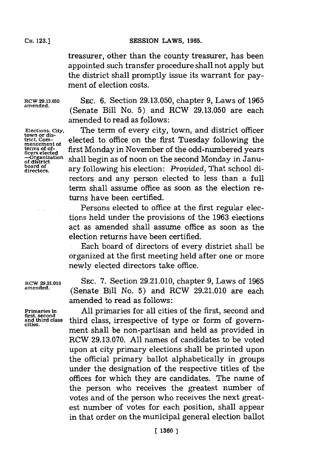### SESSION LAWS, 1965.

treasurer, other than the county treasurer, has been appointed such transfer procedure shall not apply but the district shall promptly issue its warrant for payment of election costs.

SEc. **6.** Section **29.13.050,** chapter **9,** Laws of **1965** (Senate Bill No. **5)** and ROW **29.13.050** are each

**RCW 29.13.050 amended.**

**Elections. City, town or dis-trict. Commencement of terms of officers elected -Organization of district board of directors.**

amended to read as follows: The term of every city, town, and district officer elected to office on the first Tuesday following the first Monday in November of the odd-numbered years shall begin as of noon on the second Monday in January following his election: *Provided,* That school di-

rectors and any person elected to less than a full term shall assume office as soon as the election returns have been certified.

Persons elected to office at the first regular elections held under the provisions of the **1963** elections act as amended shall assume office as soon as the election returns have been certified.

Each board of directors of every district shall be organized at the first meeting held after one or more newly elected directors take office.

**RCW 29.21.010 SEC. 7.** Section **29.21.010,** chapter **9,** Laws of **1965 amended.** (Senate Bill No. **5)** and RCW **29.21.010** are each amended to read as follows:

**Primaries in** All primaries for all cities of the first, second and first, second and and third class third class. irrespective of type or form of govern**and third class** third class, irrespective of type or form of govern- **cities.** ment shall be non-partisan and held as provided in ROW **29.13.070. All** names of candidates to be voted upon at city primary elections shall be printed upon the official primary ballot alphabetically in groups under the designation of the respective titles of the offices for which they are candidates. The name of the person who receives the greatest number of votes and of the person who receives the next greatest number of votes for each position, shall appear in that order on the municipal general election ballot

**CH. 123.]**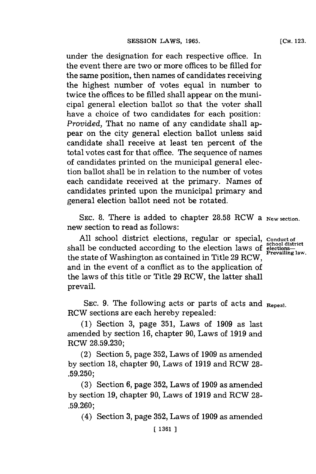under the designation for each respective office. In the event there are two or more offices to be filled for the same position, then names of candidates receiving the highest number of votes equal in number to twice the offices to be filled shall appear on the municipal general election ballot so that the voter shall have a choice of two candidates for each position: *Provided,* That no name of any candidate shall appear on the city general election ballot unless said candidate shall receive at least ten percent of the total votes cast for that office. The sequence of names of candidates printed on the municipal general election ballot shall be in relation to the number of votes each candidate received at the primary. Names of candidates printed upon the municipal primary and general election ballot need not be rotated.

SEC. **8.** There is added to chapter **28.58** RCW a **New section.** new section to read as follows:

**All** school district elections, regular or special, **Conduct of school district** shall be conducted according to the election laws of **election**the state of Washington as contained in Title 29 RCW, and in the event of a conflict as to the application of the laws of this title or Title **29** RCW, the latter shall prevail.

**SEC. 9.** The following acts or parts of acts and **Repeal.** RCW sections are each hereby repealed:

**(1)** Section **3,** page **351,** Laws of **1909** as last amended **by** section **16,** chapter **90,** Laws of **1919** and RCW **28.59.230;**

(2) Section **5,** page **352,** Laws of **1909** as amended **by** section **18,** chapter **90,** Laws of **1919** and RCW **28- .59.250;**

**(3)** Section **6,** page **352,** Laws of **1909** as amended **by** section **19,** chapter **90,** Laws of **1919** and RCW **28- .59.260;**

(4) Section **3,** page **352,** Laws of **1909** as amended

## **[CH. 123.**